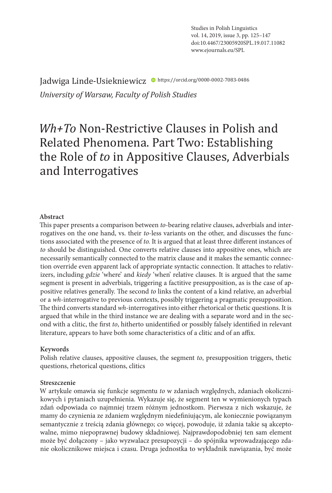Studies in Polish Linguistics vol. 14, 2019, issue 3, pp. 125–147 doi:10.4467/23005920SPL.19.017.11082 www.ejournals.eu/SPL

Jadwiga Linde-Usiekniewicz · https://orcid.org/0000-0002-7083-0486 *University of Warsaw, Faculty of Polish Studies* 

# *Wh+To* Non-Restrictive Clauses in Polish and Related Phenomena. Part Two: Establishing the Role of *to* in Appositive Clauses, Adverbials and Interrogatives

#### **Abstract**

This paper presents a comparison between *to*-bearing relative clauses, adverbials and interrogatives on the one hand, vs. their *to*-less variants on the other, and discusses the functions associated with the presence of *to.* It is argued that at least three different instances of *to* should be distinguished. One converts relative clauses into appositive ones, which are necessarily semantically connected to the matrix clause and it makes the semantic connection override even apparent lack of appropriate syntactic connection. It attaches to relativizers, including *gdzie* 'where' and *kiedy* 'when' relative clauses. It is argued that the same segment is present in adverbials, triggering a factitive presupposition, as is the case of appositive relatives generally. The second *to* links the content of a kind relative, an adverbial or a *wh*-interrogative to previous contexts, possibly triggering a pragmatic presupposition. The third converts standard *wh*-interrogatives into either rhetorical or thetic questions. It is argued that while in the third instance we are dealing with a separate word and in the second with a clitic, the first *to*, hitherto unidentified or possibly falsely identified in relevant literature, appears to have both some characteristics of a clitic and of an affix.

#### **Keywords**

Polish relative clauses, appositive clauses, the segment *to*, presupposition triggers, thetic questions, rhetorical questions, clitics

#### **Streszczenie**

W artykule omawia się funkcje segmentu *to* w zdaniach względnych, zdaniach okolicznikowych i pytaniach uzupełnienia. Wykazuje się, że segment ten w wymienionych typach zdań odpowiada co najmniej trzem różnym jednostkom. Pierwsza z nich wskazuje, że mamy do czynienia ze zdaniem względnym niedefiniującym, ale koniecznie powiązanym semantycznie z treścią zdania głównego; co więcej, powoduje, iż zdania takie są akceptowalne, mimo niepoprawnej budowy składniowej. Najprawdopodobniej ten sam element może być dołączony – jako wyzwalacz presupozycji – do spójnika wprowadzającego zdanie okolicznikowe miejsca i czasu. Druga jednostka to wykładnik nawiązania, być może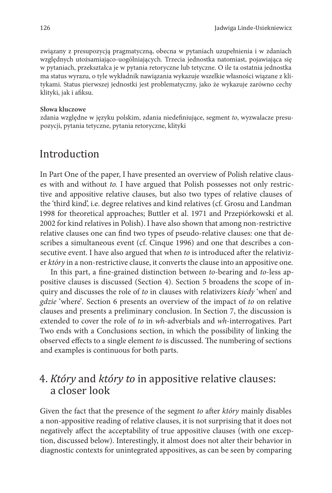związany z presupozycją pragmatyczną, obecna w pytaniach uzupełnienia i w zdaniach względnych utożsamiająco-uogólniających. Trzecia jednostka natomiast, pojawiająca się w pytaniach, przekształca je w pytania retoryczne lub tetyczne. O ile ta ostatnia jednostka ma status wyrazu, o tyle wykładnik nawiązania wykazuje wszelkie własności wiązane z klitykami. Status pierwszej jednostki jest problematyczny, jako że wykazuje zarówno cechy klityki, jak i afiksu.

#### **Słowa kluczowe**

zdania względne w języku polskim, zdania niedefiniujące, segment *to*, wyzwalacze presupozycji, pytania tetyczne, pytania retoryczne, klityki

### Introduction

In Part One of the paper, I have presented an overview of Polish relative clauses with and without *to.* I have argued that Polish possesses not only restrictive and appositive relative clauses, but also two types of relative clauses of the 'third kind', i.e. degree relatives and kind relatives (cf. Grosu and Landman 1998 for theoretical approaches; Buttler et al. 1971 and Przepiórkowski et al. 2002 for kind relatives in Polish). I have also shown that among non-restrictive relative clauses one can find two types of pseudo-relative clauses: one that describes a simultaneous event (cf. Cinque 1996) and one that describes a consecutive event. I have also argued that when *to* is introduced after the relativizer *który* in a non-restrictive clause, it converts the clause into an appositive one.

In this part, a fine-grained distinction between *to*-bearing and *to*-less appositive clauses is discussed (Section 4). Section 5 broadens the scope of inquiry and discusses the role of *to* in clauses with relativizers *kiedy* 'when' and *gdzie* 'where'*.* Section 6 presents an overview of the impact of *to* on relative clauses and presents a preliminary conclusion. In Section 7, the discussion is extended to cover the role of *to* in *wh-*adverbials and *wh-*interrogatives. Part Two ends with a Conclusions section, in which the possibility of linking the observed effects to a single element *to* is discussed. The numbering of sections and examples is continuous for both parts.

## 4. *Który* and *który to* in appositive relative clauses: a closer look

Given the fact that the presence of the segment *to* after *który* mainly disables a non-appositive reading of relative clauses, it is not surprising that it does not negatively affect the acceptability of true appositive clauses (with one exception, discussed below). Interestingly, it almost does not alter their behavior in diagnostic contexts for unintegrated appositives, as can be seen by comparing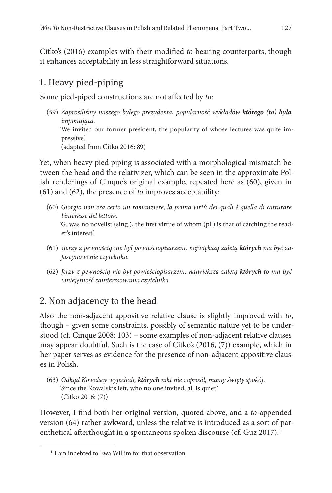Citko's (2016) examples with their modified *to*-bearing counterparts, though it enhances acceptability in less straightforward situations.

## 1. Heavy pied-piping

Some pied-piped constructions are not affected by *to*:

(59) *Zaprosiliśmy naszego byłego prezydenta*, *popularność wykładów którego (to) była imponująca.* 'We invited our former president, the popularity of whose lectures was quite impressive.' (adapted from Citko 2016: 89)

Yet, when heavy pied piping is associated with a morphological mismatch between the head and the relativizer, which can be seen in the approximate Polish renderings of Cinque's original example, repeated here as (60), given in (61) and (62), the presence of *to* improves acceptability:

- (60) *Giorgio non era certo un romanziere, la prima virtù dei quali è quella di catturare l'interesse del lettore*. 'G. was no novelist (sing.), the first virtue of whom (pl.) is that of catching the reader's interest.'
- (61) ?*Jerzy z pewnością nie był powieściopisarzem, największą zaletą których ma być zafascynowanie czytelnika.*
- (62) *Jerzy z pewnością nie był powieściopisarzem, największą zaletą których to ma być umiejętność zainteresowania czytelnika.*

## 2. Non adjacency to the head

Also the non-adjacent appositive relative clause is slightly improved with *to*, though – given some constraints, possibly of semantic nature yet to be understood (cf. Cinque 2008: 103) – some examples of non-adjacent relative clauses may appear doubtful. Such is the case of Citko's (2016, (7)) example, which in her paper serves as evidence for the presence of non-adjacent appositive clauses in Polish.

(63) *Odkąd Kowalscy wyjechali, których nikt nie zaprosił, mamy święty spokój*. 'Since the Kowalskis left, who no one invited, all is quiet.' (Citko 2016: (7))

However, I find both her original version, quoted above, and a *to*-appended version (64) rather awkward, unless the relative is introduced as a sort of parenthetical afterthought in a spontaneous spoken discourse (cf. Guz 2017).<sup>1</sup>

<sup>&</sup>lt;sup>1</sup> I am indebted to Ewa Willim for that observation.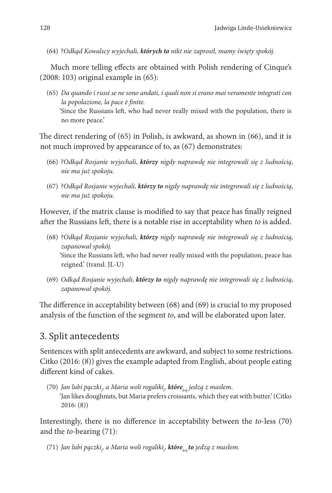(64) ?*Odkąd Kowalscy wyjechali, których to nikt nie zaprosił, mamy święty spokój.*

Much more telling effects are obtained with Polish rendering of Cinque's (2008: 103) original example in (65):

(65) *Da quando i russi se ne sono andati, i quali non si erano mai veramente integrati con la popolazione, la pace è finite.* 'Since the Russians left, who had never really mixed with the population, there is no more peace.'

The direct rendering of (65) in Polish, is awkward, as shown in (66), and it is not much improved by appearance of to, as (67) demonstrates:

- (66) ?*Odkąd Rosjanie wyjechali, którzy nigdy naprawdę nie integrowali się z ludnością, nie ma już spokoju.*
- (67) ?*Odkąd Rosjanie wyjechali, którzy to nigdy naprawdę nie integrowali się z ludnością, nie ma już spokoju.*

However, if the matrix clause is modified to say that peace has finally reigned after the Russians left, there is a notable rise in acceptability when *to* is added.

- (68) ?*Odkąd Rosjanie wyjechali, którzy nigdy naprawdę nie integrowali się z ludnością, zapanował spokój.* 'Since the Russians left, who had never really mixed with the population, peace has reigned.' (transl. JL-U)
- (69) *Odkąd Rosjanie wyjechali, którzy to nigdy naprawdę nie integrowali się z ludnością, zapanował spokój.*

The difference in acceptability between (68) and (69) is crucial to my proposed analysis of the function of the segment *to*, and will be elaborated upon later.

## 3. Split antecedents

Sentences with split antecedents are awkward, and subject to some restrictions. Citko (2016: (8)) gives the example adapted from English, about people eating different kind of cakes.

(70) *Jan lubi pączki*<sup>j</sup> *, a Maria woli rogaliki*<sup>i</sup> *, które***i+j** *jedzą z masłem*. 'Jan likes doughnuts, but Maria prefers croissants, which they eat with butter.' (Citko 2016: (8))

Interestingly, there is no difference in acceptability between the *to*-less (70) and the *to-*bearing (71):

(71) *Jan lubi pączki*<sup>j</sup> *, a Maria woli rogaliki*<sup>i</sup> *, które***i+j** *to jedzą z masłem.*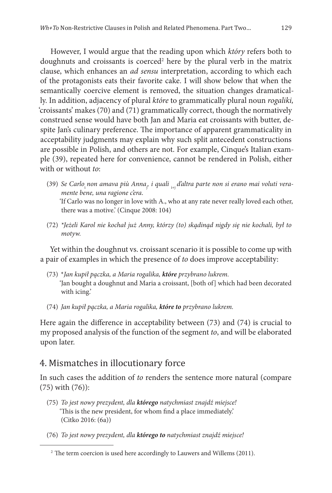However, I would argue that the reading upon which *który* refers both to doughnuts and croissants is coerced<sup>2</sup> here by the plural verb in the matrix clause, which enhances an *ad sensu* interpretation, according to which each of the protagonists eats their favorite cake. I will show below that when the semantically coercive element is removed, the situation changes dramatically. In addition, adjacency of plural *które* to grammatically plural noun *rogaliki,*  'croissants' makes (70) and (71) grammatically correct, though the normatively construed sense would have both Jan and Maria eat croissants with butter, despite Jan's culinary preference. The importance of apparent grammaticality in acceptability judgments may explain why such split antecedent constructions are possible in Polish, and others are not. For example, Cinque's Italian example (39), repeated here for convenience, cannot be rendered in Polish, either with or without *to*:

- (39) Se Carlo<sub>i</sub>non amava più Anna<sub>;</sub>, i quali <sub>i+j</sub> d'altra parte non si erano mai voluti vera*mente bene, una ragione c'era*. 'If Carlo was no longer in love with A., who at any rate never really loved each other, there was a motive.' (Cinque 2008: 104)
- (72) *\*Jeżeli Karol nie kochał już Anny, którzy (to) skądinąd nigdy się nie kochali, był to motyw.*

Yet within the doughnut vs. croissant scenario it is possible to come up with a pair of examples in which the presence of *to* does improve acceptability:

- (73) \**Jan kupił pączka, a Maria rogalika, które przybrano lukrem.* 'Jan bought a doughnut and Maria a croissant, [both of] which had been decorated with icing.'
- (74) *Jan kupił pączka, a Maria rogalika, które to przybrano lukrem.*

Here again the difference in acceptability between (73) and (74) is crucial to my proposed analysis of the function of the segment *to*, and will be elaborated upon later.

#### 4. Mismatches in illocutionary force

In such cases the addition of *to* renders the sentence more natural (compare (75) with (76)):

- (75) *To jest nowy prezydent, dla którego natychmiast znajdź miejsce!* 'This is the new president, for whom find a place immediately.' (Citko 2016: (6a))
- (76) *To jest nowy prezydent, dla którego to natychmiast znajdź miejsce!*

<sup>&</sup>lt;sup>2</sup> The term coercion is used here accordingly to Lauwers and Willems (2011).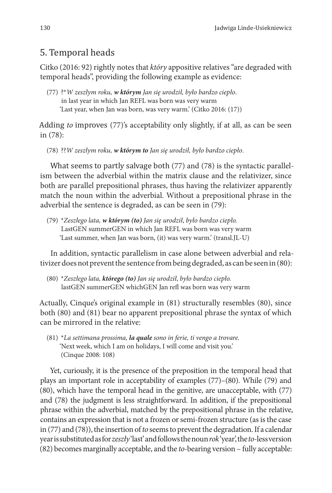## 5. Temporal heads

Citko (2016: 92) rightly notes that *który* appositive relatives "are degraded with temporal heads", providing the following example as evidence:

(77) ?\**W zeszłym roku, w którym Jan się urodził, było bardzo ciepło*. in last year in which Jan REFL was born was very warm 'Last year, when Jan was born, was very warm.' (Citko 2016: (17))

Adding *to* improves (77)'s acceptability only slightly, if at all, as can be seen in (78):

(78) ??*W zeszłym roku, w którym to Jan się urodził, było bardzo ciepło*.

What seems to partly salvage both (77) and (78) is the syntactic parallelism between the adverbial within the matrix clause and the relativizer, since both are parallel prepositional phrases, thus having the relativizer apparently match the noun within the adverbial. Without a prepositional phrase in the adverbial the sentence is degraded, as can be seen in (79):

(79) \**Zeszłego lata, w którym (to) Jan się urodził*, *było bardzo ciepło.* LastGEN summerGEN in which Jan REFL was born was very warm 'Last summer, when Jan was born, (it) was very warm.' (transl.JL-U)

In addition, syntactic parallelism in case alone between adverbial and relativizer does not prevent the sentence from being degraded, as can be seen in (80):

(80) \**Zeszłego lata, którego (to) Jan się urodził*, *było bardzo ciepło.* lastGEN summerGEN whichGEN Jan refl was born was very warm

Actually, Cinque's original example in (81) structurally resembles (80), since both (80) and (81) bear no apparent prepositional phrase the syntax of which can be mirrored in the relative:

(81) \**La settimana prossima, la quale sono in ferie, ti vengo a trovare.* 'Next week, which I am on holidays, I will come and visit you.' (Cinque 2008: 108)

Yet, curiously, it is the presence of the preposition in the temporal head that plays an important role in acceptability of examples (77)–(80). While (79) and (80), which have the temporal head in the genitive, are unacceptable, with (77) and (78) the judgment is less straightforward. In addition, if the prepositional phrase within the adverbial, matched by the prepositional phrase in the relative, contains an expression that is not a frozen or semi-frozen structure (as is the case in (77) and (78)), the insertion of *to* seems to prevent the degradation. If a calendar year is substituted as for *zeszły* 'last' and follows the noun *rok* 'year', the *to-*less version (82) becomes marginally acceptable, and the *to-*bearing version – fully acceptable: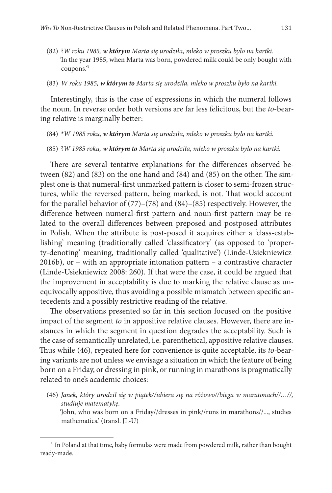- (82) ?*W roku 1985, w którym Marta się urodziła, mleko w proszku było na kartki.* 'In the year 1985, when Marta was born, powdered milk could be only bought with coupons.'3
- (83) *W roku 1985, w którym to Marta się urodziła, mleko w proszku było na kartki.*

Interestingly, this is the case of expressions in which the numeral follows the noun. In reverse order both versions are far less felicitous, but the *to*-bearing relative is marginally better:

- (84) \**W 1985 roku, w którym Marta się urodziła, mleko w proszku było na kartki.*
- (85) ?*W 1985 roku, w którym to Marta się urodziła, mleko w proszku było na kartki.*

There are several tentative explanations for the differences observed between (82) and (83) on the one hand and (84) and (85) on the other. The simplest one is that numeral-first unmarked pattern is closer to semi-frozen structures, while the reversed pattern, being marked, is not. That would account for the parallel behavior of (77)–(78) and (84)–(85) respectively. However, the difference between numeral-first pattern and noun-first pattern may be related to the overall differences between preposed and postposed attributes in Polish. When the attribute is post-posed it acquires either a 'class-establishing' meaning (traditionally called 'classificatory' (as opposed to 'property-denoting' meaning, traditionally called 'qualitative') (Linde-Usiekniewicz 2016b), or – with an appropriate intonation pattern – a contrastive character (Linde-Usiekniewicz 2008: 260). If that were the case, it could be argued that the improvement in acceptability is due to marking the relative clause as unequivocally appositive, thus avoiding a possible mismatch between specific antecedents and a possibly restrictive reading of the relative.

The observations presented so far in this section focused on the positive impact of the segment *to* in appositive relative clauses. However, there are instances in which the segment in question degrades the acceptability. Such is the case of semantically unrelated, i.e. parenthetical, appositive relative clauses. Thus while (46), repeated here for convenience is quite acceptable, its *to-*bearing variants are not unless we envisage a situation in which the feature of being born on a Friday, or dressing in pink, or running in marathons is pragmatically related to one's academic choices:

(46) *Janek, który urodził się w piątek//ubiera się na różowo//biega w maratonach//…//, studiuje matematykę.*

'John, who was born on a Friday//dresses in pink//runs in marathons//..., studies mathematics.' (transl. JL-U)

<sup>&</sup>lt;sup>3</sup> In Poland at that time, baby formulas were made from powdered milk, rather than bought ready-made.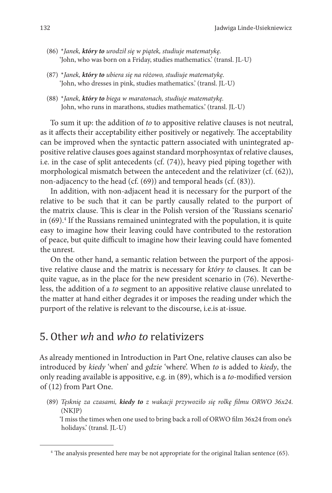- (86) \**Janek, który to urodził się w piątek, studiuje matematykę.* 'John, who was born on a Friday, studies mathematics.' (transl. JL-U)
- (87) \**Janek, który to ubiera się na różowo, studiuje matematykę.* 'John, who dresses in pink, studies mathematics.' (transl. JL-U)
- (88) \**Janek, który to biega w maratonach, studiuje matematykę.* John, who runs in marathons, studies mathematics.' (transl. JL-U)

To sum it up: the addition of *to* to appositive relative clauses is not neutral, as it affects their acceptability either positively or negatively. The acceptability can be improved when the syntactic pattern associated with unintegrated appositive relative clauses goes against standard morphosyntax of relative clauses, i.e. in the case of split antecedents (cf. (74)), heavy pied piping together with morphological mismatch between the antecedent and the relativizer (cf. (62)), non-adjacency to the head (cf. (69)) and temporal heads (cf. (83)).

In addition, with non-adjacent head it is necessary for the purport of the relative to be such that it can be partly causally related to the purport of the matrix clause. This is clear in the Polish version of the 'Russians scenario' in (69).<sup>4</sup> If the Russians remained unintegrated with the population, it is quite easy to imagine how their leaving could have contributed to the restoration of peace, but quite difficult to imagine how their leaving could have fomented the unrest.

On the other hand, a semantic relation between the purport of the appositive relative clause and the matrix is necessary for *który to* clauses. It can be quite vague, as in the place for the new president scenario in (76). Nevertheless, the addition of a *to* segment to an appositive relative clause unrelated to the matter at hand either degrades it or imposes the reading under which the purport of the relative is relevant to the discourse, i.e.is at-issue.

## 5. Other *wh* and *who to* relativizers

As already mentioned in Introduction in Part One, relative clauses can also be introduced by *kiedy* 'when' and *gdzie* 'where'. When *to* is added to *kiedy*, the only reading available is appositive, e.g. in (89), which is a *to-*modified version of (12) from Part One.

(89) *Tęsknię za czasami, kiedy to z wakacji przywoziło się rolkę filmu ORWO 36x24*. (NKJP)

'I miss the times when one used to bring back a roll of ORWO film 36x24 from one's holidays.' (transl. JL-U)

<sup>&</sup>lt;sup>4</sup> The analysis presented here may be not appropriate for the original Italian sentence (65).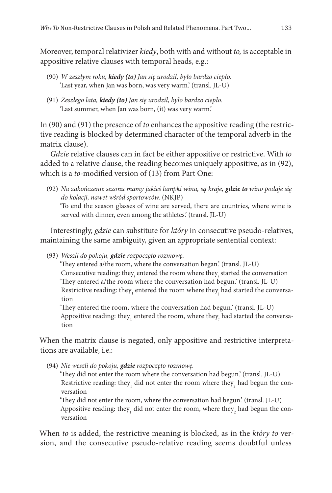Moreover, temporal relativizer *kiedy*, both with and without *to,* is acceptable in appositive relative clauses with temporal heads, e.g.:

- (90) *W zeszłym roku, kiedy (to) Jan się urodził, było bardzo ciepło*. 'Last year, when Jan was born, was very warm.' (transl. JL-U)
- (91) *Zeszłego lata, kiedy (to) Jan się urodził*, *było bardzo ciepło.* 'Last summer, when Jan was born, (it) was very warm.'

In (90) and (91) the presence of *to* enhances the appositive reading (the restrictive reading is blocked by determined character of the temporal adverb in the matrix clause).

*Gdzie* relative clauses can in fact be either appositive or restrictive. With *to*  added to a relative clause, the reading becomes uniquely appositive, as in (92), which is a *to-*modified version of (13) from Part One:

(92) *Na zakończenie sezonu mamy jakieś lampki wina, są kraje, gdzie to wino podaje się do kolacji, nawet wśród sportowców.* (NKJP)

'To end the season glasses of wine are served, there are countries, where wine is served with dinner, even among the athletes.' (transl. JL-U)

Interestingly, *gdzie* can substitute for *który* in consecutive pseudo-relatives, maintaining the same ambiguity, given an appropriate sentential context:

(93) *Weszli do pokoju, gdzie rozpoczęto rozmowę.*

'They entered a/the room, where the conversation began.' (transl. JL-U) Consecutive reading: they<sub>i</sub> entered the room where they<sub>i</sub> started the conversation 'They entered a/the room where the conversation had begun.' (transl. JL-U) Restrictive reading: they $_{\rm_1}$  entered the room where they $_{\rm j}$  had started the conversation

'They entered the room, where the conversation had begun.' (transl. JL-U) Appositive reading: they<sub>1</sub> entered the room, where they<sub>1</sub> had started the conversation

When the matrix clause is negated, only appositive and restrictive interpretations are available, i.e.:

(94) *Nie weszli do pokoju, gdzie rozpoczęto rozmowę.*

'They did not enter the room where the conversation had begun.' (transl. JL-U) Restrictive reading: they<sub>1</sub> did not enter the room where they<sub>2</sub> had begun the conversation

'They did not enter the room, where the conversation had begun.' (transl. JL-U) Appositive reading: they<sub>1</sub> did not enter the room, where they<sub>2</sub> had begun the conversation

When *to* is added, the restrictive meaning is blocked, as in the *który to* version, and the consecutive pseudo-relative reading seems doubtful unless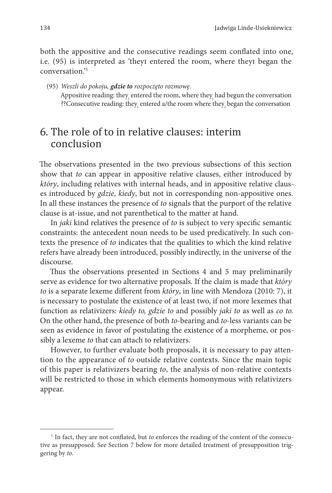both the appositive and the consecutive readings seem conflated into one, i.e. (95) is interpreted as 'theyi entered the room, where theyi began the conversation<sup>'5</sup>

(95) *Weszli do pokoju, gdzie to rozpoczęto rozmowę.* Appositive reading: they $_{\rm i}$  entered the room, where they $_{\rm j}$  had begun the conversation ??Consecutive reading: they $_{\rm i}$  entered a/the room where they $_{\rm i}$  began the conversation

## 6. The role of to in relative clauses: interim conclusion

The observations presented in the two previous subsections of this section show that *to* can appear in appositive relative clauses, either introduced by *który*, including relatives with internal heads, and in appositive relative clauses introduced by *gdzie*, *kiedy*, but not in corresponding non-appositive ones. In all these instances the presence of *to* signals that the purport of the relative clause is at-issue, and not parenthetical to the matter at hand.

In *jaki* kind relatives the presence of *to* is subject to very specific semantic constraints: the antecedent noun needs to be used predicatively. In such contexts the presence of *to* indicates that the qualities to which the kind relative refers have already been introduced, possibly indirectly, in the universe of the discourse.

Thus the observations presented in Sections 4 and 5 may preliminarily serve as evidence for two alternative proposals. If the claim is made that *który to* is a separate lexeme different from *który*, in line with Mendoza (2010: 7), it is necessary to postulate the existence of at least two, if not more lexemes that function as relativizers: *kiedy to, gdzie to* and possibly *jaki to* as well as *co to.*  On the other hand, the presence of both *to-*bearing and *to-*less variants can be seen as evidence in favor of postulating the existence of a morpheme, or possibly a lexeme *to* that can attach to relativizers.

However, to further evaluate both proposals, it is necessary to pay attention to the appearance of *to* outside relative contexts. Since the main topic of this paper is relativizers bearing *to*, the analysis of non-relative contexts will be restricted to those in which elements homonymous with relativizers appear.

<sup>5</sup> In fact, they are not conflated, but *to* enforces the reading of the content of the consecutive as presupposed. See Section 7 below for more detailed treatment of presupposition triggering by *to*.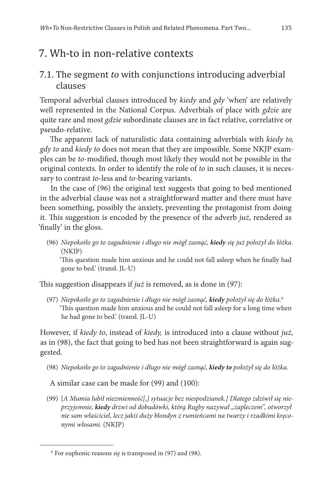# 7. Wh-to in non-relative contexts

### 7.1. The segment *to* with conjunctions introducing adverbial clauses

Temporal adverbial clauses introduced by *kiedy* and *gdy* 'when' are relatively well represented in the National Corpus. Adverbials of place with *gdzie* are quite rare and most *gdzie* subordinate clauses are in fact relative, correlative or pseudo-relative.

The apparent lack of naturalistic data containing adverbials with *kiedy to, gdy to* and *kiedy to* does not mean that they are impossible. Some NKJP examples can be *to*-modified, though most likely they would not be possible in the original contexts. In order to identify the role of *to* in such clauses, it is necessary to contrast *to*-less and *to*-bearing variants.

In the case of (96) the original text suggests that going to bed mentioned in the adverbial clause was not a straightforward matter and there must have been something, possibly the anxiety, preventing the protagonist from doing it. This suggestion is encoded by the presence of the adverb *już*, rendered as 'finally' in the gloss.

(96) *Niepokoiło go to zagadnienie i długo nie mógł zasnąć, kiedy się już położył do łóżka*. (NKJP)

'This question made him anxious and he could not fall asleep when he finally had gone to bed.' (transl. JL-U)

This suggestion disappears if *już* is removed, as is done in (97):

(97) *Niepokoiło go to zagadnienie i długo nie mógł zasnąć, kiedy położył się do łóżka.*<sup>6</sup> 'This question made him anxious and he could not fall asleep for a long time when he had gone to bed.' (transl. JL-U)

However, if *kiedy to*, instead of *kiedy,* is introduced into a clause without *już*, as in (98), the fact that going to bed has not been straightforward is again suggested.

(98) *Niepokoiło go to zagadnienie i długo nie mógł zasnąć, kiedy to położył się do łóżka.*

A similar case can be made for (99) and (100):

(99) [*A Mumia lubił niezmienność[,] sytuacje bez niespodzianek.] Dlatego zdziwił się nieprzyjemnie, kiedy drzwi od dobudówki, którą Rugby nazywał "zapleczem", otworzył nie sam właściciel, lecz jakiś duży blondyn z rumieńcami na twarzy i rzadkimi kręconymi włosami.* (NKJP)

<sup>6</sup> For euphonic reasons *się* is transposed in (97) and (98).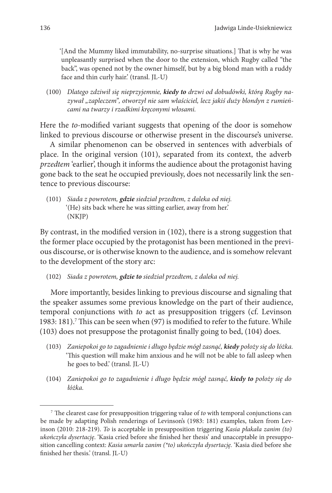'[And the Mummy liked immutability, no-surprise situations.] That is why he was unpleasantly surprised when the door to the extension, which Rugby called "the back", was opened not by the owner himself, but by a big blond man with a ruddy face and thin curly hair.' (transl. JL-U)

(100) *Dlatego zdziwił się nieprzyjemnie, kiedy to drzwi od dobudówki, którą Rugby na*zywał "zapleczem", otworzył nie sam właściciel, lecz jakiś duży blondyn z rumień*cami na twarzy i rzadkimi kręconymi włosami.*

Here the *to-*modified variant suggests that opening of the door is somehow linked to previous discourse or otherwise present in the discourse's universe.

A similar phenomenon can be observed in sentences with adverbials of place. In the original version (101), separated from its context, the adverb *przedtem* 'earlier', though it informs the audience about the protagonist having gone back to the seat he occupied previously, does not necessarily link the sentence to previous discourse:

(101) *Siada z powrotem, gdzie siedział przedtem, z daleka od niej.* '(He) sits back where he was sitting earlier, away from her.' (NKJP)

By contrast, in the modified version in (102), there is a strong suggestion that the former place occupied by the protagonist has been mentioned in the previous discourse, or is otherwise known to the audience, and is somehow relevant to the development of the story arc:

(102) *Siada z powrotem, gdzie to siedział przedtem, z daleka od niej.*

More importantly, besides linking to previous discourse and signaling that the speaker assumes some previous knowledge on the part of their audience, temporal conjunctions with *to* act as presupposition triggers (cf. Levinson 1983: 181).<sup>7</sup> This can be seen when (97) is modified to refer to the future. While (103) does not presuppose the protagonist finally going to bed, (104) does.

- (103) *Zaniepokoi go to zagadnienie i długo będzie mógł zasnąć, kiedy położy się do łóżka.* 'This question will make him anxious and he will not be able to fall asleep when he goes to bed.' (transl. JL-U)
- (104) *Zaniepokoi go to zagadnienie i długo będzie mógł zasnąć, kiedy to położy się do łóżka.*

<sup>7</sup> The clearest case for presupposition triggering value of *to* with temporal conjunctions can be made by adapting Polish renderings of Levinson's (1983: 181) examples, taken from Levinson (2010: 218-219). *To* is acceptable in presupposition triggering *Kasia płakała zanim (to) ukończyła dysertację*. 'Kasia cried before she finished her thesis' and unacceptable in presupposition cancelling context: *Kasia umarła zanim (\*to) ukończyła dysertację.* 'Kasia died before she finished her thesis.' (transl. JL-U)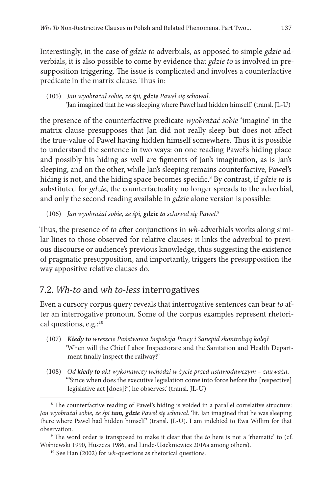Interestingly, in the case of *gdzie to* adverbials, as opposed to simple *gdzie* adverbials, it is also possible to come by evidence that *gdzie to* is involved in presupposition triggering. The issue is complicated and involves a counterfactive predicate in the matrix clause. Thus in:

(105) *Jan wyobrażał sobie, że śpi, gdzie Paweł się schował*. 'Jan imagined that he was sleeping where Paweł had hidden himself.' (transl. JL-U)

the presence of the counterfactive predicate *wyobrażać sobie* 'imagine' in the matrix clause presupposes that Jan did not really sleep but does not affect the true-value of Paweł having hidden himself somewhere. Thus it is possible to understand the sentence in two ways: on one reading Paweł's hiding place and possibly his hiding as well are figments of Jan's imagination, as is Jan's sleeping, and on the other, while Jan's sleeping remains counterfactive, Paweł's hiding is not, and the hiding space becomes specific.8 By contrast, if *gdzie to* is substituted for *gdzie*, the counterfactuality no longer spreads to the adverbial, and only the second reading available in *gdzie* alone version is possible:

(106) *Jan wyobrażał sobie, że śpi, gdzie to schował się Paweł.*<sup>9</sup>

Thus, the presence of *to* after conjunctions in *wh-*adverbials works along similar lines to those observed for relative clauses: it links the adverbial to previous discourse or audience's previous knowledge, thus suggesting the existence of pragmatic presupposition, and importantly, triggers the presupposition the way appositive relative clauses do.

### 7.2. *Wh-to* and *wh to-less* interrogatives

Even a cursory corpus query reveals that interrogative sentences can bear *to* after an interrogative pronoun. Some of the corpus examples represent rhetorical questions, e.g.:<sup>10</sup>

- (107) *Kiedy to wreszcie Państwowa Inspekcja Pracy i Sanepid skontrolują kolej?* 'When will the Chief Labor Inspectorate and the Sanitation and Health Department finally inspect the railway?'
- (108) *Od kiedy to akt wykonawczy wchodzi w życie przed ustawodawczym zauważa*. '"Since when does the executive legislation come into force before the [respective] legislative act [does]?", he observes.' (transl. JL-U)

<sup>&</sup>lt;sup>8</sup> The counterfactive reading of Paweł's hiding is voided in a parallel correlative structure: *Jan wyobrażał sobie, że śpi tam, gdzie Paweł się schował*. 'lit. Jan imagined that he was sleeping there where Paweł had hidden himself ' (transl. JL-U). I am indebted to Ewa Willim for that observation.

<sup>9</sup> The word order is transposed to make it clear that the *to* here is not a 'rhematic' to (cf. Wiśniewski 1990, Huszcza 1986, and Linde-Usiekniewicz 2016a among others). 10 See Han (2002) for *wh*-questions as rhetorical questions.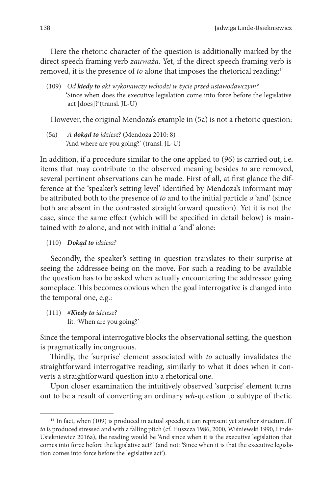Here the rhetoric character of the question is additionally marked by the direct speech framing verb *zauważa.* Yet, if the direct speech framing verb is removed, it is the presence of *to* alone that imposes the rhetorical reading:<sup>11</sup>

(109) *Od kiedy to akt wykonawczy wchodzi w życie przed ustawodawczym?* 'Since when does the executive legislation come into force before the legislative act [does]?'(transl. JL-U)

However, the original Mendoza's example in (5a) is not a rhetoric question:

(5a) *A dokąd to idziesz?* (Mendoza 2010: 8) 'And where are you going?' (transl. JL-U)

In addition, if a procedure similar to the one applied to (96) is carried out, i.e. items that may contribute to the observed meaning besides *to* are removed, several pertinent observations can be made. First of all, at first glance the difference at the 'speaker's setting level' identified by Mendoza's informant may be attributed both to the presence of *to* and to the initial particle *a* 'and' (since both are absent in the contrasted straightforward question). Yet it is not the case, since the same effect (which will be specified in detail below) is maintained with *to* alone, and not with initial *a '*and' alone:

(110) *Dokąd to idziesz?* 

Secondly, the speaker's setting in question translates to their surprise at seeing the addressee being on the move. For such a reading to be available the question has to be asked when actually encountering the addressee going someplace. This becomes obvious when the goal interrogative is changed into the temporal one, e.g.:

(111) *#Kiedy to idziesz?* lit. 'When are you going?'

Since the temporal interrogative blocks the observational setting, the question is pragmatically incongruous.

Thirdly, the 'surprise' element associated with *to* actually invalidates the straightforward interrogative reading, similarly to what it does when it converts a straightforward question into a rhetorical one.

Upon closer examination the intuitively observed 'surprise' element turns out to be a result of converting an ordinary *wh*-question to subtype of thetic

 $11$  In fact, when (109) is produced in actual speech, it can represent yet another structure. If *to* is produced stressed and with a falling pitch (cf. Huszcza 1986, 2000, Wiśniewski 1990, Linde-Usiekniewicz 2016a), the reading would be 'And since when it is the executive legislation that comes into force before the legislative act?' (and not: 'Since when it is that the executive legislation comes into force before the legislative act').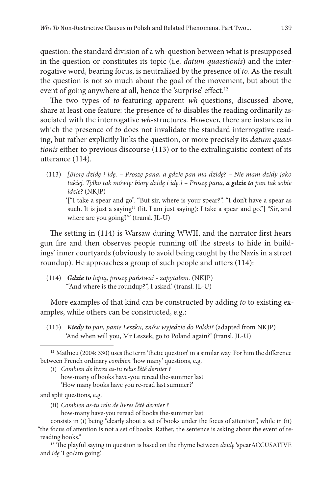question: the standard division of a wh-question between what is presupposed in the question or constitutes its topic (i.e. *datum quaestionis*) and the interrogative word, bearing focus, is neutralized by the presence of *to.* As the result the question is not so much about the goal of the movement, but about the event of going anywhere at all, hence the 'surprise' effect.<sup>12</sup>

The two types of *to*-featuring apparent *wh*-questions, discussed above, share at least one feature: the presence of *to* disables the reading ordinarily associated with the interrogative *wh*-structures. However, there are instances in which the presence of *to* does not invalidate the standard interrogative reading, but rather explicitly links the question, or more precisely its *datum quaestionis* either to previous discourse (113) or to the extralinguistic context of its utterance (114).

(113) *[Biorę dzidę i idę. – Proszę pana, a gdzie pan ma dzidę? – Nie mam dzidy jako takiej. Tylko tak mówię: biorę dzidę i idę.] – Proszę pana, a gdzie to pan tak sobie idzie?* (NKJP) '["I take a spear and go". "But sir, where is your spear?". "I don't have a spear as such. It is just a saying<sup>13</sup> (lit. I am just saying): I take a spear and go."] "Sir, and where are you going?"" (transl. JL-U)

The setting in (114) is Warsaw during WWII, and the narrator first hears gun fire and then observes people running off the streets to hide in buildings' inner courtyards (obviously to avoid being caught by the Nazis in a street roundup). He approaches a group of such people and utters (114):

(114) *Gdzie to łapią, proszę państwa? - zapytałem.* (NKJP) '"And where is the roundup?", I asked.' (transl. JL-U)

More examples of that kind can be constructed by adding *to* to existing examples, while others can be constructed, e.g.:

(115) *Kiedy to pan, panie Leszku, znów wyjedzie do Polski?* (adapted from NKJP) 'And when will you, Mr Leszek, go to Poland again?' (transl. JL-U)

and split questions, e.g.

- (ii) *Combien as-tu relu de livres l'été dernier ?* 
	- how-many have-you reread of books the-summer last

<sup>&</sup>lt;sup>12</sup> Mathieu (2004: 330) uses the term 'thetic question' in a similar way. For him the difference between French ordinary *combien* 'how many' questions, e.g.

<sup>(</sup>i) *Combien de livres as-tu relus l'été dernier ?*  how-many of books have-you reread the-summer last 'How many books have you re-read last summer?'

consists in (i) being "clearly about a set of books under the focus of attention", while in (ii) "the focus of attention is not a set of books. Rather, the sentence is asking about the event of rereading books." 13 The playful saying in question is based on the rhyme between *dzidę* 'spearACCUSATIVE

and *idę* 'I go/am going'.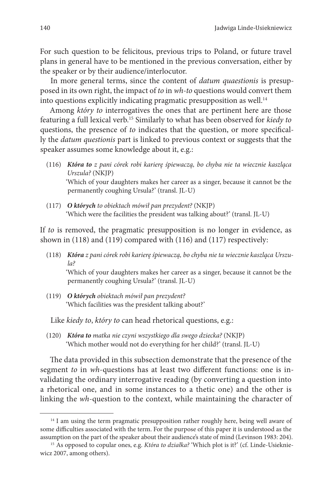For such question to be felicitous, previous trips to Poland, or future travel plans in general have to be mentioned in the previous conversation, either by the speaker or by their audience/interlocutor.

In more general terms, since the content of *datum quaestionis* is presupposed in its own right, the impact of *to* in *wh-to* questions would convert them into questions explicitly indicating pragmatic presupposition as well.<sup>14</sup>

Among *który to* interrogatives the ones that are pertinent here are those featuring a full lexical verb.15 Similarly to what has been observed for *kiedy to*  questions, the presence of *to* indicates that the question, or more specifically the *datum questionis* part is linked to previous context or suggests that the speaker assumes some knowledge about it, e.g.:

- (116) *Która to z pani córek robi karierę śpiewaczą, bo chyba nie ta wiecznie kaszląca Urszula?* (NKJP) 'Which of your daughters makes her career as a singer, because it cannot be the permanently coughing Ursula?' (transl. JL-U)
- (117) *O których to obiektach mówił pan prezydent?* (NKJP) 'Which were the facilities the president was talking about?' (transl. JL-U)

If *to* is removed, the pragmatic presupposition is no longer in evidence, as shown in (118) and (119) compared with (116) and (117) respectively:

- (118) *Która z pani córek robi karierę śpiewaczą, bo chyba nie ta wiecznie kaszląca Urszula?* 'Which of your daughters makes her career as a singer, because it cannot be the permanently coughing Ursula?' (transl. JL-U)
- (119) *O których obiektach mówił pan prezydent?* 'Which facilities was the president talking about?'

Like *kiedy to*, *który to* can head rhetorical questions, e.g.:

(120) *Która to matka nie czyni wszystkiego dla swego dziecka?* (NKJP) 'Which mother would not do everything for her child?' (transl. JL-U)

The data provided in this subsection demonstrate that the presence of the segment *to* in *wh*-questions has at least two different functions: one is invalidating the ordinary interrogative reading (by converting a question into a rhetorical one, and in some instances to a thetic one) and the other is linking the *wh*-question to the context, while maintaining the character of

<sup>&</sup>lt;sup>14</sup> I am using the term pragmatic presupposition rather roughly here, being well aware of some difficulties associated with the term. For the purpose of this paper it is understood as the assumption on the part of the speaker about their audience's state of mind (Levinson 1983: 204).

<sup>15</sup> As opposed to copular ones, e.g. *Która to działka?* 'Which plot is it?' (cf. Linde-Usiekniewicz 2007, among others).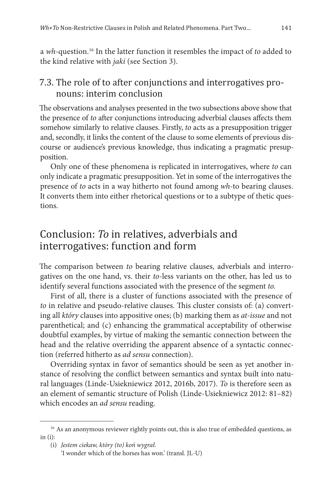a *wh-*question.16 In the latter function it resembles the impact of *to* added to the kind relative with *jaki* (see Section 3).

#### 7.3. The role of to after conjunctions and interrogatives pronouns: interim conclusion

The observations and analyses presented in the two subsections above show that the presence of *to* after conjunctions introducing adverbial clauses affects them somehow similarly to relative clauses. Firstly, *to* acts as a presupposition trigger and, secondly, it links the content of the clause to some elements of previous discourse or audience's previous knowledge, thus indicating a pragmatic presupposition.

Only one of these phenomena is replicated in interrogatives, where *to* can only indicate a pragmatic presupposition. Yet in some of the interrogatives the presence of *to* acts in a way hitherto not found among *wh-*to bearing clauses. It converts them into either rhetorical questions or to a subtype of thetic questions.

## Conclusion: *To* in relatives, adverbials and interrogatives: function and form

The comparison between *to* bearing relative clauses, adverbials and interrogatives on the one hand, vs. their *to*-less variants on the other, has led us to identify several functions associated with the presence of the segment *to.*

First of all, there is a cluster of functions associated with the presence of *to* in relative and pseudo-relative clauses. This cluster consists of: (a) converting all *który* clauses into appositive ones; (b) marking them as *at-issue* and not parenthetical; and (c) enhancing the grammatical acceptability of otherwise doubtful examples, by virtue of making the semantic connection between the head and the relative overriding the apparent absence of a syntactic connection (referred hitherto as *ad sensu* connection).

Overriding syntax in favor of semantics should be seen as yet another instance of resolving the conflict between semantics and syntax built into natural languages (Linde-Usiekniewicz 2012, 2016b, 2017). *To* is therefore seen as an element of semantic structure of Polish (Linde-Usiekniewicz 2012: 81–82) which encodes an *ad sensu* reading.

<sup>&</sup>lt;sup>16</sup> As an anonymous reviewer rightly points out, this is also true of embedded questions, as  $in (i)$ :

<sup>(</sup>i) *Jestem ciekaw, który (to) koń wygrał.* 

<sup>&#</sup>x27;I wonder which of the horses has won.' (transl. JL-U)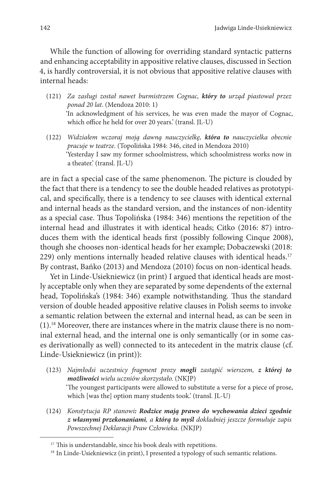While the function of allowing for overriding standard syntactic patterns and enhancing acceptability in appositive relative clauses, discussed in Section 4, is hardly controversial, it is not obvious that appositive relative clauses with internal heads:

- (121) *Za zasługi został nawet burmistrzem Cognac, który to urząd piastował przez ponad 20 lat*. (Mendoza 2010: 1) 'In acknowledgment of his services, he was even made the mayor of Cognac, which office he held for over 20 years.' (transl. JL-U)
- (122) *Widziałem wczoraj moją dawną nauczycielkę, która to nauczycielka obecnie pracuje w teatrze*. (Topolińska 1984: 346, cited in Mendoza 2010) 'Yesterday I saw my former schoolmistress, which schoolmistress works now in a theater.' (transl. JL-U)

are in fact a special case of the same phenomenon. The picture is clouded by the fact that there is a tendency to see the double headed relatives as prototypical, and specifically, there is a tendency to see clauses with identical external and internal heads as the standard version, and the instances of non-identity as a special case. Thus Topolińska (1984: 346) mentions the repetition of the internal head and illustrates it with identical heads; Citko (2016: 87) introduces them with the identical heads first (possibly following Cinque 2008), though she chooses non-identical heads for her example; Dobaczewski (2018: 229) only mentions internally headed relative clauses with identical heads.<sup>17</sup> By contrast, Bańko (2013) and Mendoza (2010) focus on non-identical heads.

Yet in Linde-Usiekniewicz (in print) I argued that identical heads are mostly acceptable only when they are separated by some dependents of the external head, Topolińska's (1984: 346) example notwithstanding. Thus the standard version of double headed appositive relative clauses in Polish seems to invoke a semantic relation between the external and internal head, as can be seen in (1).18 Moreover, there are instances where in the matrix clause there is no nominal external head, and the internal one is only semantically (or in some cases derivationally as well) connected to its antecedent in the matrix clause (cf. Linde-Usiekniewicz (in print)):

- (123) *Najmłodsi uczestnicy fragment prozy mogli zastąpić wierszem, z której to możliwości wielu uczniów skorzystało.* (NKJP) 'The youngest participants were allowed to substitute a verse for a piece of prose, which [was the] option many students took.' (transl. JL-U)
- (124) *Konstytucja RP stanowi: Rodzice mają prawo do wychowania dzieci zgodnie z własnymi przekonaniami, a którą to myśl dokładniej jeszcze formułuje zapis Powszechnej Deklaracji Praw Człowieka.* (NKJP)

<sup>&</sup>lt;sup>17</sup> This is understandable, since his book deals with repetitions.

<sup>&</sup>lt;sup>18</sup> In Linde-Usiekniewicz (in print), I presented a typology of such semantic relations.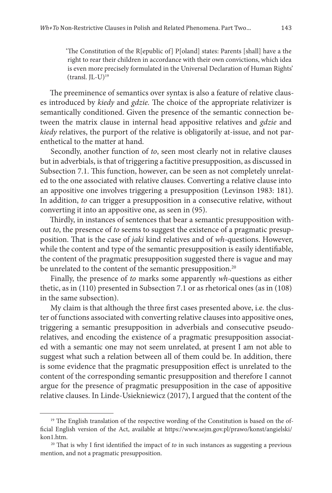'The Constitution of the R[epublic of] P[oland] states: Parents [shall] have a the right to rear their children in accordance with their own convictions, which idea is even more precisely formulated in the Universal Declaration of Human Rights'  $(transl. IL-U)<sup>19</sup>$ 

The preeminence of semantics over syntax is also a feature of relative clauses introduced by *kiedy* and *gdzie.* The choice of the appropriate relativizer is semantically conditioned. Given the presence of the semantic connection between the matrix clause in internal head appositive relatives and *gdzie* and *kiedy* relatives, the purport of the relative is obligatorily at-issue, and not parenthetical to the matter at hand.

Secondly, another function of *to*, seen most clearly not in relative clauses but in adverbials, is that of triggering a factitive presupposition, as discussed in Subsection 7.1. This function, however, can be seen as not completely unrelated to the one associated with relative clauses. Converting a relative clause into an appositive one involves triggering a presupposition (Levinson 1983: 181). In addition, *to* can trigger a presupposition in a consecutive relative, without converting it into an appositive one, as seen in (95).

Thirdly, in instances of sentences that bear a semantic presupposition without *to*, the presence of *to* seems to suggest the existence of a pragmatic presupposition. That is the case of *jaki* kind relatives and of *wh*-questions. However, while the content and type of the semantic presupposition is easily identifiable, the content of the pragmatic presupposition suggested there is vague and may be unrelated to the content of the semantic presupposition.<sup>20</sup>

Finally, the presence of *to* marks some apparently *wh-*questions as either thetic, as in (110) presented in Subsection 7.1 or as rhetorical ones (as in (108) in the same subsection).

My claim is that although the three first cases presented above, i.e. the cluster of functions associated with converting relative clauses into appositive ones, triggering a semantic presupposition in adverbials and consecutive pseudorelatives, and encoding the existence of a pragmatic presupposition associated with a semantic one may not seem unrelated, at present I am not able to suggest what such a relation between all of them could be. In addition, there is some evidence that the pragmatic presupposition effect is unrelated to the content of the corresponding semantic presupposition and therefore I cannot argue for the presence of pragmatic presupposition in the case of appositive relative clauses. In Linde-Usiekniewicz (2017), I argued that the content of the

<sup>&</sup>lt;sup>19</sup> The English translation of the respective wording of the Constitution is based on the official English version of the Act, available at https://www.sejm.gov.pl/prawo/konst/angielski/ kon1.htm.

<sup>20</sup> That is why I first identified the impact of *to* in such instances as suggesting a previous mention, and not a pragmatic presupposition.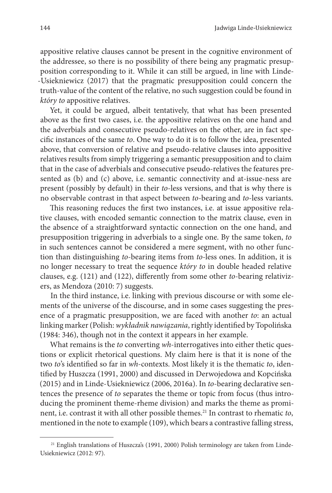appositive relative clauses cannot be present in the cognitive environment of the addressee, so there is no possibility of there being any pragmatic presupposition corresponding to it. While it can still be argued, in line with Linde- -Usiekniewicz (2017) that the pragmatic presupposition could concern the truth-value of the content of the relative, no such suggestion could be found in *który to* appositive relatives.

Yet, it could be argued, albeit tentatively, that what has been presented above as the first two cases, i.e. the appositive relatives on the one hand and the adverbials and consecutive pseudo-relatives on the other, are in fact specific instances of the same *to*. One way to do it is to follow the idea, presented above, that conversion of relative and pseudo-relative clauses into appositive relatives results from simply triggering a semantic presupposition and to claim that in the case of adverbials and consecutive pseudo-relatives the features presented as (b) and (c) above, i.e. semantic connectivity and at-issue-ness are present (possibly by default) in their *to*-less versions, and that is why there is no observable contrast in that aspect between *to*-bearing and *to*-less variants.

This reasoning reduces the first two instances, i.e. at issue appositive relative clauses, with encoded semantic connection to the matrix clause, even in the absence of a straightforward syntactic connection on the one hand, and presupposition triggering in adverbials to a single one. By the same token, *to* in such sentences cannot be considered a mere segment, with no other function than distinguishing *to*-bearing items from *to-*less ones. In addition, it is no longer necessary to treat the sequence *który to* in double headed relative clauses, e.g. (121) and (122), differently from some other *to*-bearing relativizers, as Mendoza (2010: 7) suggests.

In the third instance, i.e. linking with previous discourse or with some elements of the universe of the discourse, and in some cases suggesting the presence of a pragmatic presupposition, we are faced with another *to*: an actual linking marker (Polish: *wykładnik nawiązania*, rightly identified by Topolińska (1984: 346), though not in the context it appears in her example.

What remains is the *to* converting *wh*-interrogatives into either thetic questions or explicit rhetorical questions. My claim here is that it is none of the two *to*'s identified so far in *wh*-contexts. Most likely it is the thematic *to*, identified by Huszcza (1991, 2000) and discussed in Derwojedowa and Kopcińska (2015) and in Linde-Usiekniewicz (2006, 2016a). In *to*-bearing declarative sentences the presence of *to* separates the theme or topic from focus (thus introducing the prominent theme-rheme division) and marks the theme as prominent, i.e. contrast it with all other possible themes.21 In contrast to rhematic *to*, mentioned in the note to example (109), which bears a contrastive falling stress,

 $21$  English translations of Huszcza's (1991, 2000) Polish terminology are taken from Linde-Usiekniewicz (2012: 97).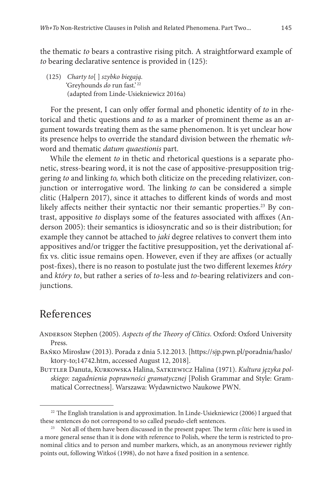the thematic *to* bears a contrastive rising pitch. A straightforward example of *to* bearing declarative sentence is provided in (125):

(125) *Charty to*[ ] *szybko biegają.* 'Greyhounds *do* run fast.'<sup>22</sup> (adapted from Linde-Usiekniewicz 2016a)

For the present, I can only offer formal and phonetic identity of *to* in rhetorical and thetic questions and *to* as a marker of prominent theme as an argument towards treating them as the same phenomenon. It is yet unclear how its presence helps to override the standard division between the rhematic *wh*word and thematic *datum quaestionis* part.

While the element *to* in thetic and rhetorical questions is a separate phonetic, stress-bearing word, it is not the case of appositive-presupposition triggering *to* and linking *to,* which both cliticize on the preceding relativizer, conjunction or interrogative word. The linking *to* can be considered a simple clitic (Halpern 2017), since it attaches to different kinds of words and most likely affects neither their syntactic nor their semantic properties.<sup>23</sup> By contrast, appositive *to* displays some of the features associated with affixes (Anderson 2005): their semantics is idiosyncratic and so is their distribution; for example they cannot be attached to *jaki* degree relatives to convert them into appositives and/or trigger the factitive presupposition, yet the derivational affix vs. clitic issue remains open. However, even if they are affixes (or actually post-fixes), there is no reason to postulate just the two different lexemes *który* and *który to*, but rather a series of *to*-less and *to-*bearing relativizers and conjunctions.

### References

Anderson Stephen (2005). *Aspects of the Theory of Clitics*. Oxford: Oxford University Press.

Bańko Mirosław (2013). Porada z dnia 5.12.2013. [https://sjp.pwn.pl/poradnia/haslo/ ktory-to;14742.htm, accessed August 12, 2018].

BUTTLER Danuta, KURKOWSKA Halina, SATKIEWICZ Halina (1971). *Kultura języka polskiego: zagadnienia poprawności gramatycznej* [Polish Grammar and Style: Grammatical Correctness]. Warszawa: Wydawnictwo Naukowe PWN.

<sup>&</sup>lt;sup>22</sup> The English translation is and approximation. In Linde-Usiekniewicz (2006) I argued that these sentences do not correspond to so called pseudo-cleft sentences. 23 Not all of them have been discussed in the present paper. The term *clitic* here is used in

a more general sense than it is done with reference to Polish, where the term is restricted to pronominal clitics and to person and number markers, which, as an anonymous reviewer rightly points out, following Witkoś (1998), do not have a fixed position in a sentence.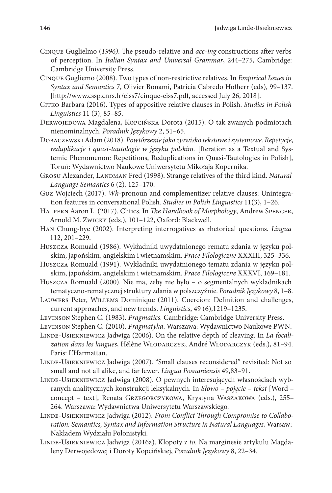- Cinque Guglielmo (*1996)*. The pseudo-relative and *acc*-*ing* constructions after verbs of perception. In *Italian Syntax and Universal Grammar*, 244–275, Cambridge: Cambridge University Press.
- Cinque Gugliemo (2008). Two types of non-restrictive relatives. In *Empirical Issues in Syntax and Semantics* 7, Olivier Bonami, Patricia Cabredo Hofherr (eds), 99–137. [http://www.cssp.cnrs.fr/eiss7/cinque-eiss7.pdf, accessed July 26, 2018].
- Citko Barbara (2016). Types of appositive relative clauses in Polish. *Studies in Polish Linguistics* 11 (3), 85–85.
- DERWOJEDOWA Magdalena, KOPCIŃSKA Dorota (2015). O tak zwanych podmiotach nienominalnych. *Poradnik Językowy* 2, 51–65.
- Dobaczewski Adam (2018). *Powtórzenie jako zjawisko tekstowe i systemowe. Repetycje, reduplikacje i quasi-tautologie w języku polskim.* [Iteration as a Textual and Systemic Phenomenon: Repetitions, Reduplications in Quasi-Tautologies in Polish], Toruń: Wydawnictwo Naukowe Uniwersytetu Mikołaja Kopernika.
- GROSU Alexander, LANDMAN Fred (1998). Strange relatives of the third kind. *Natural Language Semantics* 6 (2), 125–170.
- Guz Wojciech (2017). *Wh*-pronoun and complementizer relative clauses: Unintegration features in conversational Polish*. Studies in Polish Linguistics* 11(3), 1–26.
- Halpern Aaron L. (2017). Clitics. In *The Handbook of Morphology*, Andrew Spencer, Arnold M. Zwicky (eds.), 101–122, Oxford: Blackwell.
- Han Chung-hye (2002). Interpreting interrogatives as rhetorical questions. *Lingua* 112, 201–229.
- Huszcza Romuald (1986). Wykładniki uwydatnionego rematu zdania w języku polskim, japońskim, angielskim i wietnamskim*. Prace Filologiczne* XXXIII, 325–336.
- Huszcza Romuald (1991). Wykładniki uwydatnionego tematu zdania w języku polskim, japońskim, angielskim i wietnamskim. *Prace Filologiczne* XXXVI, 169–181.
- Huszcza Romuald (2000). Nie ma, żeby nie było o segmentalnych wykładnikach tematyczno-rematycznej struktury zdania w polszczyźnie. *Poradnik Językowy* 8, 1–8.
- Lauwers Peter, Willems Dominique (2011). Coercion: Definition and challenges, current approaches, and new trends. *Linguistics*, 49 (6),1219–1235.
- Levinson Stephen C. (1983). *Pragmatics.* Cambridge: Cambridge University Press.
- Levinson Stephen C. (2010). *Pragmatyka*. Warszawa: Wydawnictwo Naukowe PWN.
- LINDE-USIEKNIEWICZ Jadwiga (2006). On the relative depth of cleaving. In *La focalization dans les langues*, Hélène Wlodarczyk, André Wlodarczyk (eds.), 81–94. Paris: L'Harmattan.
- Linde-Usiekniewicz Jadwiga (2007). "Small clauses reconsidered" revisited: Not so small and not all alike, and far fewer*. Lingua Posnaniensis* 49,83–91.
- Linde-Usiekniewicz Jadwiga (2008). O pewnych interesujących własnościach wybranych analitycznych konstrukcji leksykalnych. In *Słowo – pojęcie – tekst* [Word – concept – text], Renata Grzegorczykowa, Krystyna Waszakowa (eds.), 255– 264. Warszawa: Wydawnictwa Uniwersytetu Warszawskiego.
- Linde-Usiekniewicz Jadwiga (2012). *From Conflict Through Compromise to Collaboration: Semantics, Syntax and Information Structure in Natural Languages*, Warsaw: Nakładem Wydziału Polonistyki.
- Linde-Usiekniewicz Jadwiga (2016a). Kłopoty z *to*. Na marginesie artykułu Magdaleny Derwojedowej i Doroty Kopcińskiej, *Poradnik Językowy* 8, 22–34.